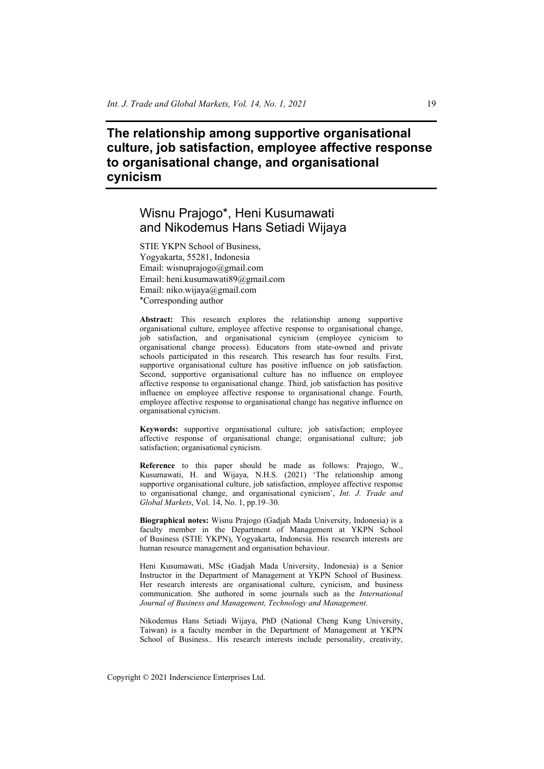# **The relationship among supportive organisational culture, job satisfaction, employee affective response to organisational change, and organisational cynicism**

# Wisnu Prajogo\*, Heni Kusumawati and Nikodemus Hans Setiadi Wijaya

STIE YKPN School of Business, Yogyakarta, 55281, Indonesia Email: wisnuprajogo@gmail.com Email: heni.kusumawati89@gmail.com Email: niko.wijaya@gmail.com \*Corresponding author

**Abstract:** This research explores the relationship among supportive organisational culture, employee affective response to organisational change, job satisfaction, and organisational cynicism (employee cynicism to organisational change process). Educators from state-owned and private schools participated in this research. This research has four results. First, supportive organisational culture has positive influence on job satisfaction. Second, supportive organisational culture has no influence on employee affective response to organisational change. Third, job satisfaction has positive influence on employee affective response to organisational change. Fourth, employee affective response to organisational change has negative influence on organisational cynicism.

**Keywords:** supportive organisational culture; job satisfaction; employee affective response of organisational change; organisational culture; job satisfaction; organisational cynicism.

**Reference** to this paper should be made as follows: Prajogo, W., Kusumawati, H. and Wijaya, N.H.S. (2021) 'The relationship among supportive organisational culture, job satisfaction, employee affective response to organisational change, and organisational cynicism', *Int. J. Trade and Global Markets*, Vol. 14, No. 1, pp.19–30.

**Biographical notes:** Wisnu Prajogo (Gadjah Mada University, Indonesia) is a faculty member in the Department of Management at YKPN School of Business (STIE YKPN), Yogyakarta, Indonesia. His research interests are human resource management and organisation behaviour.

Heni Kusumawati, MSc (Gadjah Mada University, Indonesia) is a Senior Instructor in the Department of Management at YKPN School of Business. Her research interests are organisational culture, cynicism, and business communication. She authored in some journals such as the *International Journal of Business and Management, Technology and Management*.

Nikodemus Hans Setiadi Wijaya, PhD (National Cheng Kung University, Taiwan) is a faculty member in the Department of Management at YKPN School of Business.. His research interests include personality, creativity,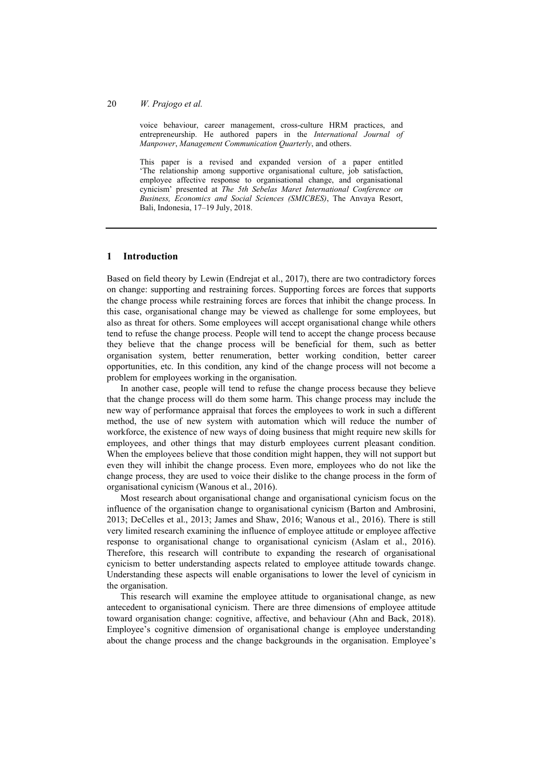#### 20 *W. Prajogo et al.*

voice behaviour, career management, cross-culture HRM practices, and entrepreneurship. He authored papers in the *International Journal of Manpower*, *Management Communication Quarterly*, and others.

This paper is a revised and expanded version of a paper entitled 'The relationship among supportive organisational culture, job satisfaction, employee affective response to organisational change, and organisational cynicism' presented at *The 5th Sebelas Maret International Conference on Business, Economics and Social Sciences (SMICBES)*, The Anvaya Resort, Bali, Indonesia, 17–19 July, 2018.

#### **1 Introduction**

Based on field theory by Lewin (Endrejat et al., 2017), there are two contradictory forces on change: supporting and restraining forces. Supporting forces are forces that supports the change process while restraining forces are forces that inhibit the change process. In this case, organisational change may be viewed as challenge for some employees, but also as threat for others. Some employees will accept organisational change while others tend to refuse the change process. People will tend to accept the change process because they believe that the change process will be beneficial for them, such as better organisation system, better renumeration, better working condition, better career opportunities, etc. In this condition, any kind of the change process will not become a problem for employees working in the organisation.

In another case, people will tend to refuse the change process because they believe that the change process will do them some harm. This change process may include the new way of performance appraisal that forces the employees to work in such a different method, the use of new system with automation which will reduce the number of workforce, the existence of new ways of doing business that might require new skills for employees, and other things that may disturb employees current pleasant condition. When the employees believe that those condition might happen, they will not support but even they will inhibit the change process. Even more, employees who do not like the change process, they are used to voice their dislike to the change process in the form of organisational cynicism (Wanous et al., 2016).

Most research about organisational change and organisational cynicism focus on the influence of the organisation change to organisational cynicism (Barton and Ambrosini, 2013; DeCelles et al., 2013; James and Shaw, 2016; Wanous et al., 2016). There is still very limited research examining the influence of employee attitude or employee affective response to organisational change to organisational cynicism (Aslam et al., 2016). Therefore, this research will contribute to expanding the research of organisational cynicism to better understanding aspects related to employee attitude towards change. Understanding these aspects will enable organisations to lower the level of cynicism in the organisation.

This research will examine the employee attitude to organisational change, as new antecedent to organisational cynicism. There are three dimensions of employee attitude toward organisation change: cognitive, affective, and behaviour (Ahn and Back, 2018). Employee's cognitive dimension of organisational change is employee understanding about the change process and the change backgrounds in the organisation. Employee's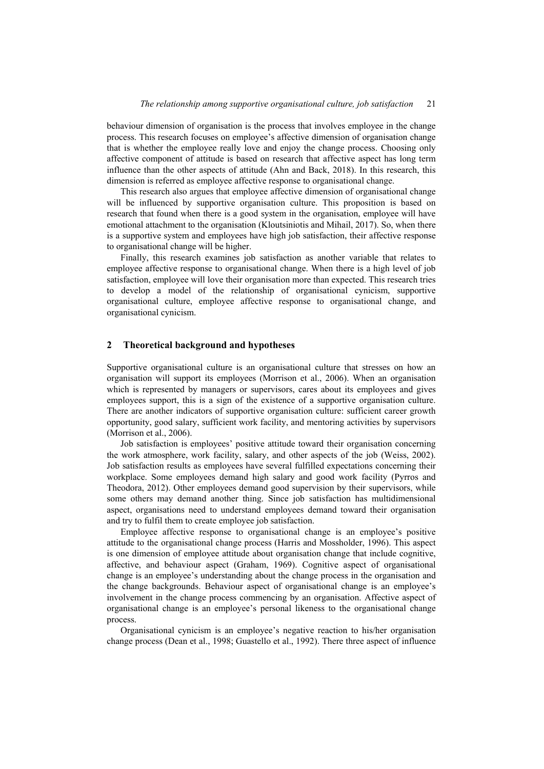behaviour dimension of organisation is the process that involves employee in the change process. This research focuses on employee's affective dimension of organisation change that is whether the employee really love and enjoy the change process. Choosing only affective component of attitude is based on research that affective aspect has long term influence than the other aspects of attitude (Ahn and Back, 2018). In this research, this dimension is referred as employee affective response to organisational change.

This research also argues that employee affective dimension of organisational change will be influenced by supportive organisation culture. This proposition is based on research that found when there is a good system in the organisation, employee will have emotional attachment to the organisation (Kloutsiniotis and Mihail, 2017). So, when there is a supportive system and employees have high job satisfaction, their affective response to organisational change will be higher.

Finally, this research examines job satisfaction as another variable that relates to employee affective response to organisational change. When there is a high level of job satisfaction, employee will love their organisation more than expected. This research tries to develop a model of the relationship of organisational cynicism, supportive organisational culture, employee affective response to organisational change, and organisational cynicism.

#### **2 Theoretical background and hypotheses**

Supportive organisational culture is an organisational culture that stresses on how an organisation will support its employees (Morrison et al., 2006). When an organisation which is represented by managers or supervisors, cares about its employees and gives employees support, this is a sign of the existence of a supportive organisation culture. There are another indicators of supportive organisation culture: sufficient career growth opportunity, good salary, sufficient work facility, and mentoring activities by supervisors (Morrison et al., 2006).

Job satisfaction is employees' positive attitude toward their organisation concerning the work atmosphere, work facility, salary, and other aspects of the job (Weiss, 2002). Job satisfaction results as employees have several fulfilled expectations concerning their workplace. Some employees demand high salary and good work facility (Pyrros and Theodora, 2012). Other employees demand good supervision by their supervisors, while some others may demand another thing. Since job satisfaction has multidimensional aspect, organisations need to understand employees demand toward their organisation and try to fulfil them to create employee job satisfaction.

Employee affective response to organisational change is an employee's positive attitude to the organisational change process (Harris and Mossholder, 1996). This aspect is one dimension of employee attitude about organisation change that include cognitive, affective, and behaviour aspect (Graham, 1969). Cognitive aspect of organisational change is an employee's understanding about the change process in the organisation and the change backgrounds. Behaviour aspect of organisational change is an employee's involvement in the change process commencing by an organisation. Affective aspect of organisational change is an employee's personal likeness to the organisational change process.

Organisational cynicism is an employee's negative reaction to his/her organisation change process (Dean et al., 1998; Guastello et al., 1992). There three aspect of influence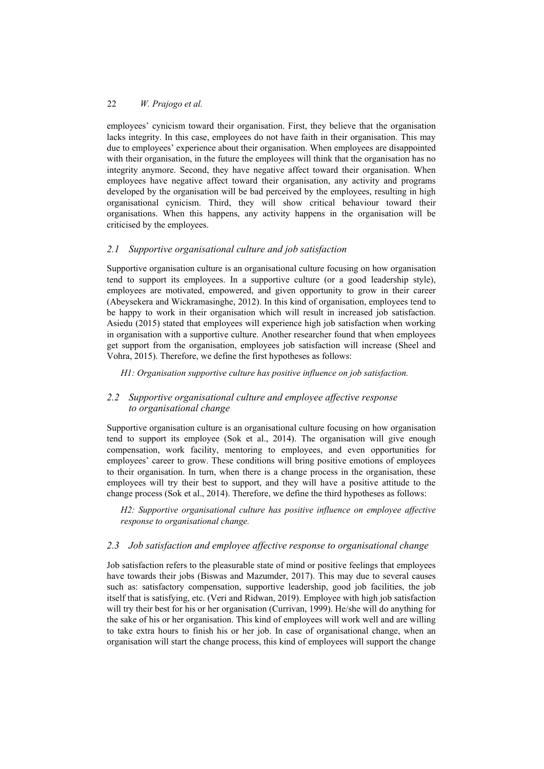employees' cynicism toward their organisation. First, they believe that the organisation lacks integrity. In this case, employees do not have faith in their organisation. This may due to employees' experience about their organisation. When employees are disappointed with their organisation, in the future the employees will think that the organisation has no integrity anymore. Second, they have negative affect toward their organisation. When employees have negative affect toward their organisation, any activity and programs developed by the organisation will be bad perceived by the employees, resulting in high organisational cynicism. Third, they will show critical behaviour toward their organisations. When this happens, any activity happens in the organisation will be criticised by the employees.

# *2.1 Supportive organisational culture and job satisfaction*

Supportive organisation culture is an organisational culture focusing on how organisation tend to support its employees. In a supportive culture (or a good leadership style), employees are motivated, empowered, and given opportunity to grow in their career (Abeysekera and Wickramasinghe, 2012). In this kind of organisation, employees tend to be happy to work in their organisation which will result in increased job satisfaction. Asiedu (2015) stated that employees will experience high job satisfaction when working in organisation with a supportive culture. Another researcher found that when employees get support from the organisation, employees job satisfaction will increase (Sheel and Vohra, 2015). Therefore, we define the first hypotheses as follows:

*H1: Organisation supportive culture has positive influence on job satisfaction.* 

# *2.2 Supportive organisational culture and employee affective response to organisational change*

Supportive organisation culture is an organisational culture focusing on how organisation tend to support its employee (Sok et al., 2014). The organisation will give enough compensation, work facility, mentoring to employees, and even opportunities for employees' career to grow. These conditions will bring positive emotions of employees to their organisation. In turn, when there is a change process in the organisation, these employees will try their best to support, and they will have a positive attitude to the change process (Sok et al., 2014). Therefore, we define the third hypotheses as follows:

*H2: Supportive organisational culture has positive influence on employee affective response to organisational change.* 

# *2.3 Job satisfaction and employee affective response to organisational change*

Job satisfaction refers to the pleasurable state of mind or positive feelings that employees have towards their jobs (Biswas and Mazumder, 2017). This may due to several causes such as: satisfactory compensation, supportive leadership, good job facilities, the job itself that is satisfying, etc. (Veri and Ridwan, 2019). Employee with high job satisfaction will try their best for his or her organisation (Currivan, 1999). He/she will do anything for the sake of his or her organisation. This kind of employees will work well and are willing to take extra hours to finish his or her job. In case of organisational change, when an organisation will start the change process, this kind of employees will support the change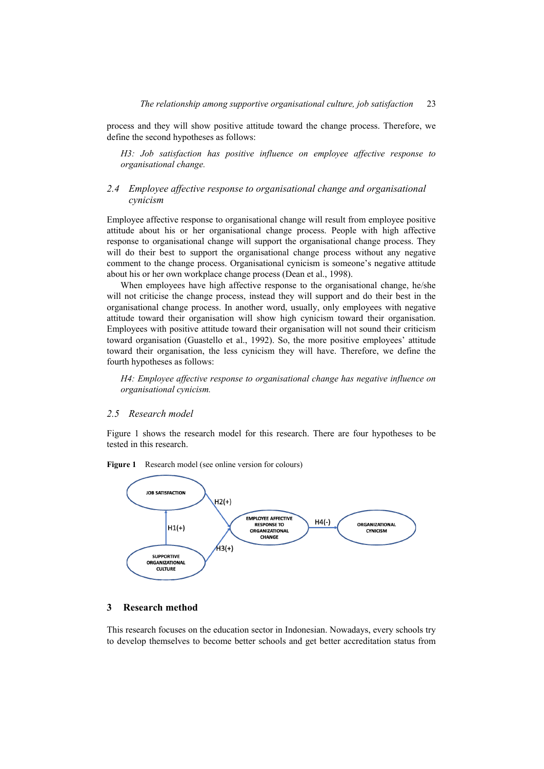process and they will show positive attitude toward the change process. Therefore, we define the second hypotheses as follows:

*H3: Job satisfaction has positive influence on employee affective response to organisational change.* 

#### *2.4 Employee affective response to organisational change and organisational cynicism*

Employee affective response to organisational change will result from employee positive attitude about his or her organisational change process. People with high affective response to organisational change will support the organisational change process. They will do their best to support the organisational change process without any negative comment to the change process. Organisational cynicism is someone's negative attitude about his or her own workplace change process (Dean et al., 1998).

When employees have high affective response to the organisational change, he/she will not criticise the change process, instead they will support and do their best in the organisational change process. In another word, usually, only employees with negative attitude toward their organisation will show high cynicism toward their organisation. Employees with positive attitude toward their organisation will not sound their criticism toward organisation (Guastello et al., 1992). So, the more positive employees' attitude toward their organisation, the less cynicism they will have. Therefore, we define the fourth hypotheses as follows:

*H4: Employee affective response to organisational change has negative influence on organisational cynicism.* 

#### *2.5 Research model*

Figure 1 shows the research model for this research. There are four hypotheses to be tested in this research.



Figure 1 Research model (see online version for colours)

# **3 Research method**

This research focuses on the education sector in Indonesian. Nowadays, every schools try to develop themselves to become better schools and get better accreditation status from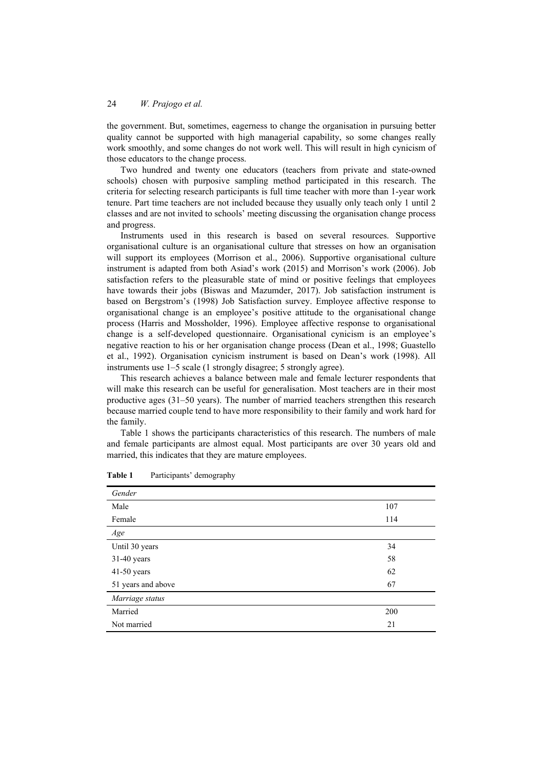the government. But, sometimes, eagerness to change the organisation in pursuing better quality cannot be supported with high managerial capability, so some changes really work smoothly, and some changes do not work well. This will result in high cynicism of those educators to the change process.

Two hundred and twenty one educators (teachers from private and state-owned schools) chosen with purposive sampling method participated in this research. The criteria for selecting research participants is full time teacher with more than 1-year work tenure. Part time teachers are not included because they usually only teach only 1 until 2 classes and are not invited to schools' meeting discussing the organisation change process and progress.

Instruments used in this research is based on several resources. Supportive organisational culture is an organisational culture that stresses on how an organisation will support its employees (Morrison et al., 2006). Supportive organisational culture instrument is adapted from both Asiad's work (2015) and Morrison's work (2006). Job satisfaction refers to the pleasurable state of mind or positive feelings that employees have towards their jobs (Biswas and Mazumder, 2017). Job satisfaction instrument is based on Bergstrom's (1998) Job Satisfaction survey. Employee affective response to organisational change is an employee's positive attitude to the organisational change process (Harris and Mossholder, 1996). Employee affective response to organisational change is a self-developed questionnaire. Organisational cynicism is an employee's negative reaction to his or her organisation change process (Dean et al., 1998; Guastello et al., 1992). Organisation cynicism instrument is based on Dean's work (1998). All instruments use 1–5 scale (1 strongly disagree; 5 strongly agree).

This research achieves a balance between male and female lecturer respondents that will make this research can be useful for generalisation. Most teachers are in their most productive ages (31–50 years). The number of married teachers strengthen this research because married couple tend to have more responsibility to their family and work hard for the family.

Table 1 shows the participants characteristics of this research. The numbers of male and female participants are almost equal. Most participants are over 30 years old and married, this indicates that they are mature employees.

| Gender             |     |
|--------------------|-----|
| Male               | 107 |
| Female             | 114 |
| Age                |     |
| Until 30 years     | 34  |
| $31-40$ years      | 58  |
| 41-50 years        | 62  |
| 51 years and above | 67  |
| Marriage status    |     |
| Married            | 200 |
| Not married        | 21  |

**Table 1** Participants' demography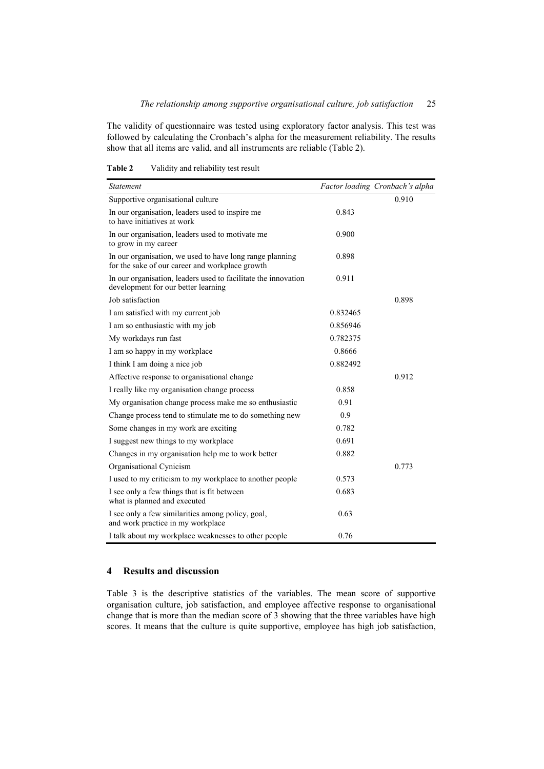The validity of questionnaire was tested using exploratory factor analysis. This test was followed by calculating the Cronbach's alpha for the measurement reliability. The results show that all items are valid, and all instruments are reliable (Table 2).

| <i>Statement</i>                                                                                            |          | Factor loading Cronbach's alpha |
|-------------------------------------------------------------------------------------------------------------|----------|---------------------------------|
|                                                                                                             |          | 0.910                           |
| Supportive organisational culture                                                                           |          |                                 |
| In our organisation, leaders used to inspire me<br>to have initiatives at work                              | 0.843    |                                 |
| In our organisation, leaders used to motivate me<br>to grow in my career                                    | 0.900    |                                 |
| In our organisation, we used to have long range planning<br>for the sake of our career and workplace growth | 0.898    |                                 |
| In our organisation, leaders used to facilitate the innovation<br>development for our better learning       | 0.911    |                                 |
| Job satisfaction                                                                                            |          | 0.898                           |
| I am satisfied with my current job                                                                          | 0.832465 |                                 |
| I am so enthusiastic with my job                                                                            | 0.856946 |                                 |
| My workdays run fast                                                                                        | 0.782375 |                                 |
| I am so happy in my workplace                                                                               | 0.8666   |                                 |
| I think I am doing a nice job                                                                               | 0.882492 |                                 |
| Affective response to organisational change                                                                 |          | 0.912                           |
| I really like my organisation change process                                                                | 0.858    |                                 |
| My organisation change process make me so enthusiastic                                                      | 0.91     |                                 |
| Change process tend to stimulate me to do something new                                                     | 0.9      |                                 |
| Some changes in my work are exciting                                                                        | 0.782    |                                 |
| I suggest new things to my workplace                                                                        | 0.691    |                                 |
| Changes in my organisation help me to work better                                                           | 0.882    |                                 |
| Organisational Cynicism                                                                                     |          | 0.773                           |
| I used to my criticism to my workplace to another people                                                    | 0.573    |                                 |
| I see only a few things that is fit between<br>what is planned and executed                                 | 0.683    |                                 |
| I see only a few similarities among policy, goal,<br>and work practice in my workplace                      | 0.63     |                                 |
| I talk about my workplace weaknesses to other people                                                        | 0.76     |                                 |

**Table 2** Validity and reliability test result

## **4 Results and discussion**

Table 3 is the descriptive statistics of the variables. The mean score of supportive organisation culture, job satisfaction, and employee affective response to organisational change that is more than the median score of 3 showing that the three variables have high scores. It means that the culture is quite supportive, employee has high job satisfaction,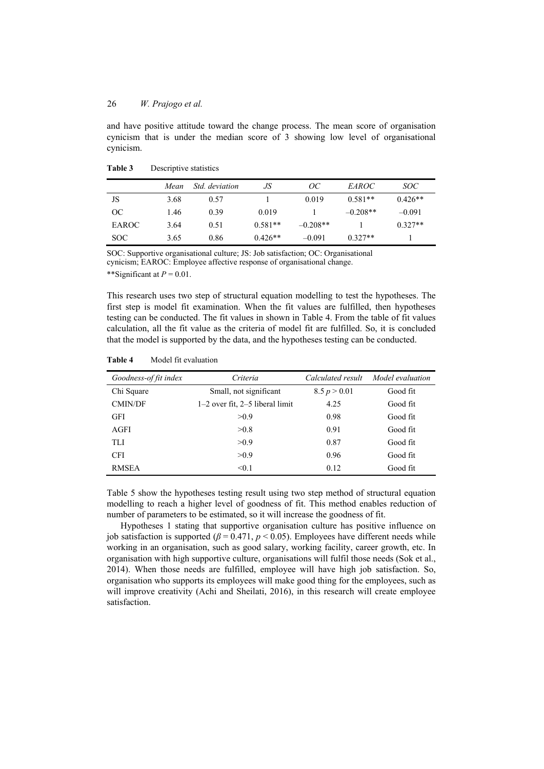and have positive attitude toward the change process. The mean score of organisation cynicism that is under the median score of 3 showing low level of organisational cynicism.

|               | Mean | <i>Std.</i> deviation | JS        | ОC         | <i>EAROC</i> | SOC       |
|---------------|------|-----------------------|-----------|------------|--------------|-----------|
| JS            | 3.68 | 0.57                  |           | 0.019      | $0.581**$    | $0.426**$ |
| <sub>OC</sub> | 1.46 | 0.39                  | 0.019     |            | $-0.208**$   | $-0.091$  |
| EAROC         | 3.64 | 0.51                  | $0.581**$ | $-0.208**$ |              | $0.327**$ |
| SOC.          | 3.65 | 0.86                  | $0.426**$ | $-0.091$   | $0.327**$    |           |

| Table 3 | Descriptive statistics |  |
|---------|------------------------|--|
|---------|------------------------|--|

SOC: Supportive organisational culture; JS: Job satisfaction; OC: Organisational cynicism; EAROC: Employee affective response of organisational change. \*\*Significant at  $P = 0.01$ .

This research uses two step of structural equation modelling to test the hypotheses. The first step is model fit examination. When the fit values are fulfilled, then hypotheses testing can be conducted. The fit values in shown in Table 4. From the table of fit values calculation, all the fit value as the criteria of model fit are fulfilled. So, it is concluded that the model is supported by the data, and the hypotheses testing can be conducted.

| Goodness-of fit index | Criteria                            | Calculated result | Model evaluation |
|-----------------------|-------------------------------------|-------------------|------------------|
| Chi Square            | Small, not significant              | 8.5 p > 0.01      | Good fit         |
| <b>CMIN/DF</b>        | $1-2$ over fit, $2-5$ liberal limit | 4.25              | Good fit         |
| <b>GFI</b>            | >0.9                                | 0.98              | Good fit         |
| AGFI                  | >0.8                                | 0.91              | Good fit         |
| TLI                   | >0.9                                | 0.87              | Good fit         |
| <b>CFI</b>            | >0.9                                | 0.96              | Good fit         |
| <b>RMSEA</b>          | < 0.1                               | 0.12              | Good fit         |

**Table 4** Model fit evaluation

Table 5 show the hypotheses testing result using two step method of structural equation modelling to reach a higher level of goodness of fit. This method enables reduction of number of parameters to be estimated, so it will increase the goodness of fit.

Hypotheses 1 stating that supportive organisation culture has positive influence on job satisfaction is supported ( $\beta$  = 0.471,  $p$  < 0.05). Employees have different needs while working in an organisation, such as good salary, working facility, career growth, etc. In organisation with high supportive culture, organisations will fulfil those needs (Sok et al., 2014). When those needs are fulfilled, employee will have high job satisfaction. So, organisation who supports its employees will make good thing for the employees, such as will improve creativity (Achi and Sheilati, 2016), in this research will create employee satisfaction.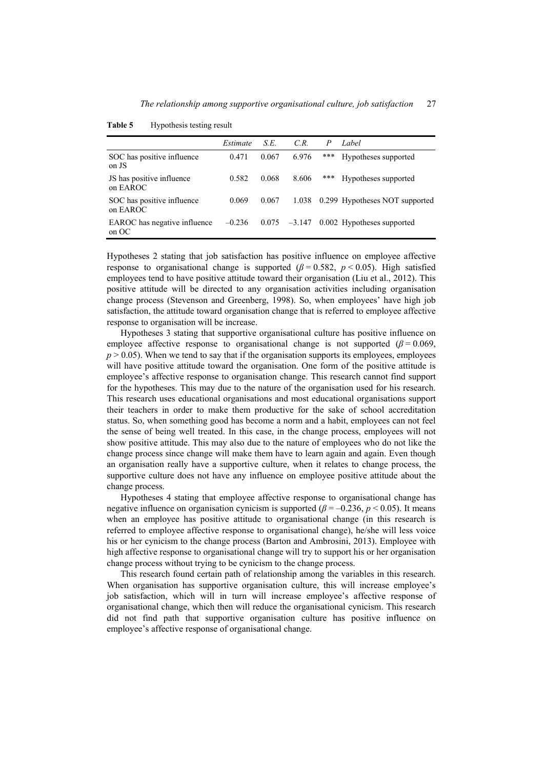|                                        | Estimate | S.E.  | C.R.           | P   | Label                          |
|----------------------------------------|----------|-------|----------------|-----|--------------------------------|
| SOC has positive influence<br>on JS    | 0.471    | 0.067 | 6.976          | *** | Hypotheses supported           |
| JS has positive influence<br>on EAROC  | 0.582    | 0.068 | 8.606          | *** | Hypotheses supported           |
| SOC has positive influence<br>on EAROC | 0.069    | 0.067 | 1.038          |     | 0.299 Hypotheses NOT supported |
| EAROC has negative influence<br>on OC  | $-0.236$ |       | $0.075 -3.147$ |     | 0.002 Hypotheses supported     |

Table 5 Hypothesis testing result

Hypotheses 2 stating that job satisfaction has positive influence on employee affective response to organisational change is supported  $(\beta = 0.582, p < 0.05)$ . High satisfied employees tend to have positive attitude toward their organisation (Liu et al., 2012). This positive attitude will be directed to any organisation activities including organisation change process (Stevenson and Greenberg, 1998). So, when employees' have high job satisfaction, the attitude toward organisation change that is referred to employee affective response to organisation will be increase.

Hypotheses 3 stating that supportive organisational culture has positive influence on employee affective response to organisational change is not supported  $(\beta = 0.069)$ ,  $p > 0.05$ ). When we tend to say that if the organisation supports its employees, employees will have positive attitude toward the organisation. One form of the positive attitude is employee's affective response to organisation change. This research cannot find support for the hypotheses. This may due to the nature of the organisation used for his research. This research uses educational organisations and most educational organisations support their teachers in order to make them productive for the sake of school accreditation status. So, when something good has become a norm and a habit, employees can not feel the sense of being well treated. In this case, in the change process, employees will not show positive attitude. This may also due to the nature of employees who do not like the change process since change will make them have to learn again and again. Even though an organisation really have a supportive culture, when it relates to change process, the supportive culture does not have any influence on employee positive attitude about the change process.

Hypotheses 4 stating that employee affective response to organisational change has negative influence on organisation cynicism is supported ( $\beta$  = –0.236, *p* < 0.05). It means when an employee has positive attitude to organisational change (in this research is referred to employee affective response to organisational change), he/she will less voice his or her cynicism to the change process (Barton and Ambrosini, 2013). Employee with high affective response to organisational change will try to support his or her organisation change process without trying to be cynicism to the change process.

This research found certain path of relationship among the variables in this research. When organisation has supportive organisation culture, this will increase employee's job satisfaction, which will in turn will increase employee's affective response of organisational change, which then will reduce the organisational cynicism. This research did not find path that supportive organisation culture has positive influence on employee's affective response of organisational change.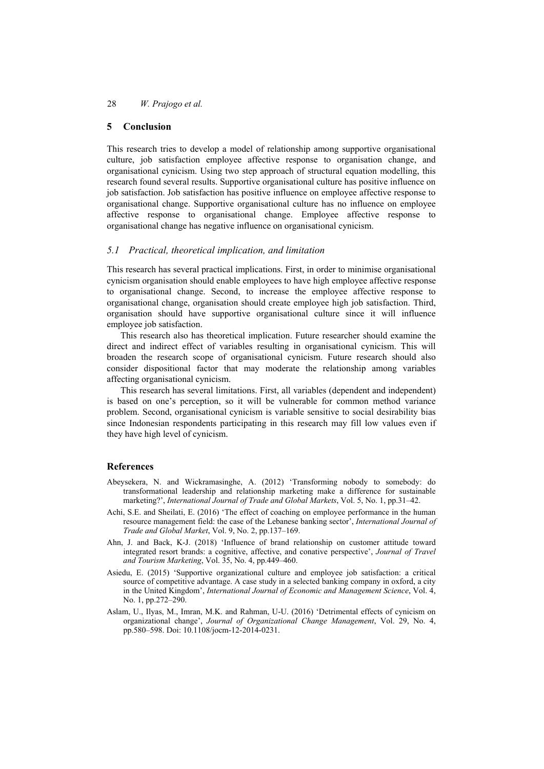## **5 Conclusion**

This research tries to develop a model of relationship among supportive organisational culture, job satisfaction employee affective response to organisation change, and organisational cynicism. Using two step approach of structural equation modelling, this research found several results. Supportive organisational culture has positive influence on job satisfaction. Job satisfaction has positive influence on employee affective response to organisational change. Supportive organisational culture has no influence on employee affective response to organisational change. Employee affective response to organisational change has negative influence on organisational cynicism.

## *5.1 Practical, theoretical implication, and limitation*

This research has several practical implications. First, in order to minimise organisational cynicism organisation should enable employees to have high employee affective response to organisational change. Second, to increase the employee affective response to organisational change, organisation should create employee high job satisfaction. Third, organisation should have supportive organisational culture since it will influence employee job satisfaction.

This research also has theoretical implication. Future researcher should examine the direct and indirect effect of variables resulting in organisational cynicism. This will broaden the research scope of organisational cynicism. Future research should also consider dispositional factor that may moderate the relationship among variables affecting organisational cynicism.

This research has several limitations. First, all variables (dependent and independent) is based on one's perception, so it will be vulnerable for common method variance problem. Second, organisational cynicism is variable sensitive to social desirability bias since Indonesian respondents participating in this research may fill low values even if they have high level of cynicism.

## **References**

- Abeysekera, N. and Wickramasinghe, A. (2012) 'Transforming nobody to somebody: do transformational leadership and relationship marketing make a difference for sustainable marketing?', *International Journal of Trade and Global Markets*, Vol. 5, No. 1, pp.31–42.
- Achi, S.E. and Sheilati, E. (2016) 'The effect of coaching on employee performance in the human resource management field: the case of the Lebanese banking sector', *International Journal of Trade and Global Market*, Vol. 9, No. 2, pp.137–169.
- Ahn, J. and Back, K-J. (2018) 'Influence of brand relationship on customer attitude toward integrated resort brands: a cognitive, affective, and conative perspective', *Journal of Travel and Tourism Marketing*, Vol. 35, No. 4, pp.449–460.
- Asiedu, E. (2015) 'Supportive organizational culture and employee job satisfaction: a critical source of competitive advantage. A case study in a selected banking company in oxford, a city in the United Kingdom', *International Journal of Economic and Management Science*, Vol. 4, No. 1, pp.272–290.
- Aslam, U., Ilyas, M., Imran, M.K. and Rahman, U-U. (2016) 'Detrimental effects of cynicism on organizational change', *Journal of Organizational Change Management*, Vol. 29, No. 4, pp.580–598. Doi: 10.1108/jocm-12-2014-0231.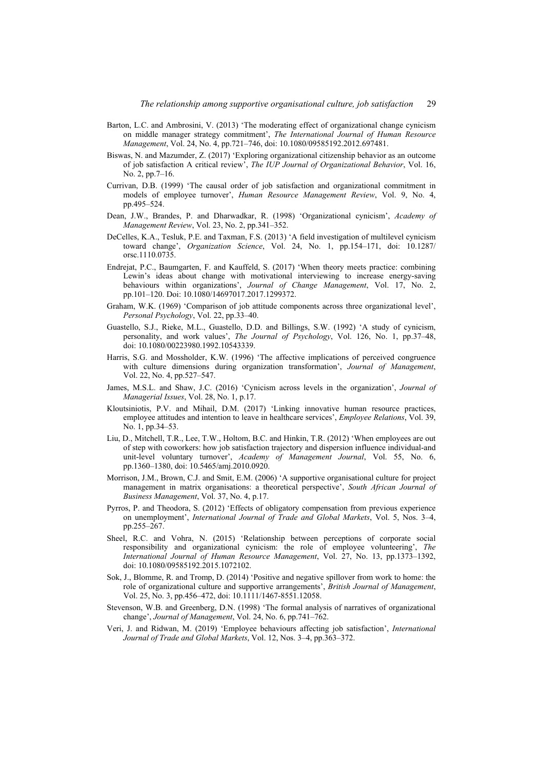- Barton, L.C. and Ambrosini, V. (2013) 'The moderating effect of organizational change cynicism on middle manager strategy commitment', *The International Journal of Human Resource Management*, Vol. 24, No. 4, pp.721–746, doi: 10.1080/09585192.2012.697481.
- Biswas, N. and Mazumder, Z. (2017) 'Exploring organizational citizenship behavior as an outcome of job satisfaction A critical review', *The IUP Journal of Organizational Behavior*, Vol. 16, No. 2, pp.7–16.
- Currivan, D.B. (1999) 'The causal order of job satisfaction and organizational commitment in models of employee turnover', *Human Resource Management Review*, Vol. 9, No. 4, pp.495–524.
- Dean, J.W., Brandes, P. and Dharwadkar, R. (1998) 'Organizational cynicism', *Academy of Management Review*, Vol. 23, No. 2, pp.341–352.
- DeCelles, K.A., Tesluk, P.E. and Taxman, F.S. (2013) 'A field investigation of multilevel cynicism toward change', *Organization Science*, Vol. 24, No. 1, pp.154–171, doi: 10.1287/ orsc.1110.0735.
- Endrejat, P.C., Baumgarten, F. and Kauffeld, S. (2017) 'When theory meets practice: combining Lewin's ideas about change with motivational interviewing to increase energy-saving behaviours within organizations', *Journal of Change Management*, Vol. 17, No. 2, pp.101–120. Doi: 10.1080/14697017.2017.1299372.
- Graham, W.K. (1969) 'Comparison of job attitude components across three organizational level', *Personal Psychology*, Vol. 22, pp.33–40.
- Guastello, S.J., Rieke, M.L., Guastello, D.D. and Billings, S.W. (1992) 'A study of cynicism, personality, and work values', *The Journal of Psychology*, Vol. 126, No. 1, pp.37–48, doi: 10.1080/00223980.1992.10543339.
- Harris, S.G. and Mossholder, K.W. (1996) 'The affective implications of perceived congruence with culture dimensions during organization transformation', *Journal of Management*, Vol. 22, No. 4, pp.527–547.
- James, M.S.L. and Shaw, J.C. (2016) 'Cynicism across levels in the organization', *Journal of Managerial Issues*, Vol. 28, No. 1, p.17.
- Kloutsiniotis, P.V. and Mihail, D.M. (2017) 'Linking innovative human resource practices, employee attitudes and intention to leave in healthcare services', *Employee Relations*, Vol. 39, No. 1, pp.34–53.
- Liu, D., Mitchell, T.R., Lee, T.W., Holtom, B.C. and Hinkin, T.R. (2012) 'When employees are out of step with coworkers: how job satisfaction trajectory and dispersion influence individual-and unit-level voluntary turnover', *Academy of Management Journal*, Vol. 55, No. 6, pp.1360–1380, doi: 10.5465/amj.2010.0920.
- Morrison, J.M., Brown, C.J. and Smit, E.M. (2006) 'A supportive organisational culture for project management in matrix organisations: a theoretical perspective', *South African Journal of Business Management*, Vol. 37, No. 4, p.17.
- Pyrros, P. and Theodora, S. (2012) 'Effects of obligatory compensation from previous experience on unemployment', *International Journal of Trade and Global Markets*, Vol. 5, Nos. 3–4, pp.255–267.
- Sheel, R.C. and Vohra, N. (2015) 'Relationship between perceptions of corporate social responsibility and organizational cynicism: the role of employee volunteering', *The International Journal of Human Resource Management*, Vol. 27, No. 13, pp.1373–1392, doi: 10.1080/09585192.2015.1072102.
- Sok, J., Blomme, R. and Tromp, D. (2014) 'Positive and negative spillover from work to home: the role of organizational culture and supportive arrangements', *British Journal of Management*, Vol. 25, No. 3, pp.456–472, doi: 10.1111/1467-8551.12058.
- Stevenson, W.B. and Greenberg, D.N. (1998) 'The formal analysis of narratives of organizational change', *Journal of Management*, Vol. 24, No. 6, pp.741–762.
- Veri, J. and Ridwan, M. (2019) 'Employee behaviours affecting job satisfaction', *International Journal of Trade and Global Markets*, Vol. 12, Nos. 3–4, pp.363–372.